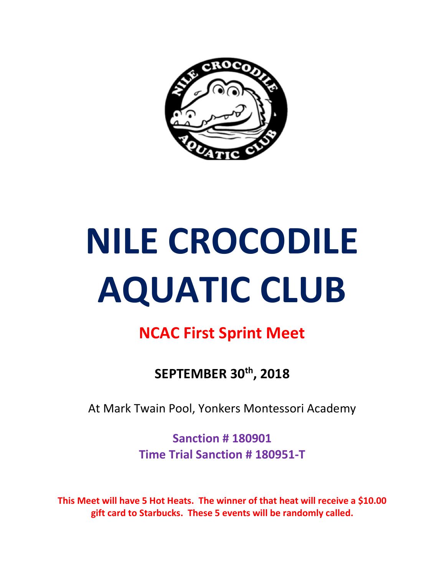

# NILE CROCODILE AQUATIC CLUB

#### NCAC First Sprint Meet

SEPTEMBER 30th, 2018

At Mark Twain Pool, Yonkers Montessori Academy

Sanction # 180901 Time Trial Sanction # 180951-T

This Meet will have 5 Hot Heats. The winner of that heat will receive a \$10.00 gift card to Starbucks. These 5 events will be randomly called.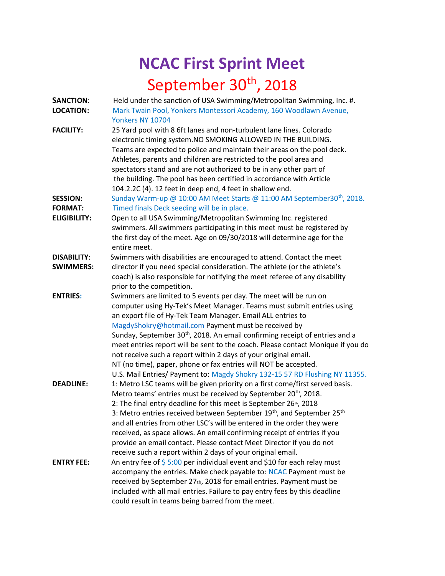## NCAC First Sprint Meet September 30<sup>th</sup>, 2018

| <b>SANCTION:</b>    | Held under the sanction of USA Swimming/Metropolitan Swimming, Inc. #.                  |  |  |
|---------------------|-----------------------------------------------------------------------------------------|--|--|
| <b>LOCATION:</b>    | Mark Twain Pool, Yonkers Montessori Academy, 160 Woodlawn Avenue,                       |  |  |
|                     | Yonkers NY 10704                                                                        |  |  |
| <b>FACILITY:</b>    | 25 Yard pool with 8 6ft lanes and non-turbulent lane lines. Colorado                    |  |  |
|                     | electronic timing system. NO SMOKING ALLOWED IN THE BUILDING.                           |  |  |
|                     | Teams are expected to police and maintain their areas on the pool deck.                 |  |  |
|                     | Athletes, parents and children are restricted to the pool area and                      |  |  |
|                     | spectators stand and are not authorized to be in any other part of                      |  |  |
|                     | the building. The pool has been certified in accordance with Article                    |  |  |
|                     | 104.2.2C (4). 12 feet in deep end, 4 feet in shallow end.                               |  |  |
| <b>SESSION:</b>     | Sunday Warm-up @ 10:00 AM Meet Starts @ 11:00 AM September30 <sup>th</sup> , 2018.      |  |  |
| <b>FORMAT:</b>      | Timed finals Deck seeding will be in place.                                             |  |  |
| <b>ELIGIBILITY:</b> | Open to all USA Swimming/Metropolitan Swimming Inc. registered                          |  |  |
|                     | swimmers. All swimmers participating in this meet must be registered by                 |  |  |
|                     | the first day of the meet. Age on 09/30/2018 will determine age for the                 |  |  |
|                     | entire meet.                                                                            |  |  |
| <b>DISABILITY:</b>  | Swimmers with disabilities are encouraged to attend. Contact the meet                   |  |  |
| <b>SWIMMERS:</b>    | director if you need special consideration. The athlete (or the athlete's               |  |  |
|                     | coach) is also responsible for notifying the meet referee of any disability             |  |  |
|                     | prior to the competition.                                                               |  |  |
| <b>ENTRIES:</b>     | Swimmers are limited to 5 events per day. The meet will be run on                       |  |  |
|                     | computer using Hy-Tek's Meet Manager. Teams must submit entries using                   |  |  |
|                     | an export file of Hy-Tek Team Manager. Email ALL entries to                             |  |  |
|                     | MagdyShokry@hotmail.com Payment must be received by                                     |  |  |
|                     | Sunday, September 30 <sup>th</sup> , 2018. An email confirming receipt of entries and a |  |  |
|                     | meet entries report will be sent to the coach. Please contact Monique if you do         |  |  |
|                     | not receive such a report within 2 days of your original email.                         |  |  |
|                     | NT (no time), paper, phone or fax entries will NOT be accepted.                         |  |  |
|                     | U.S. Mail Entries/ Payment to: Magdy Shokry 132-15 57 RD Flushing NY 11355.             |  |  |
| <b>DEADLINE:</b>    | 1: Metro LSC teams will be given priority on a first come/first served basis.           |  |  |
|                     | Metro teams' entries must be received by September 20 <sup>th</sup> , 2018.             |  |  |
|                     | 2: The final entry deadline for this meet is September 26 <sup>th</sup> , 2018          |  |  |
|                     | 3: Metro entries received between September $19^{th}$ , and September $25^{th}$         |  |  |
|                     | and all entries from other LSC's will be entered in the order they were                 |  |  |
|                     | received, as space allows. An email confirming receipt of entries if you                |  |  |
|                     | provide an email contact. Please contact Meet Director if you do not                    |  |  |
|                     | receive such a report within 2 days of your original email.                             |  |  |
| <b>ENTRY FEE:</b>   | An entry fee of $$5:00$ per individual event and \$10 for each relay must               |  |  |
|                     | accompany the entries. Make check payable to: NCAC Payment must be                      |  |  |
|                     | received by September 27th, 2018 for email entries. Payment must be                     |  |  |
|                     | included with all mail entries. Failure to pay entry fees by this deadline              |  |  |
|                     | could result in teams being barred from the meet.                                       |  |  |
|                     |                                                                                         |  |  |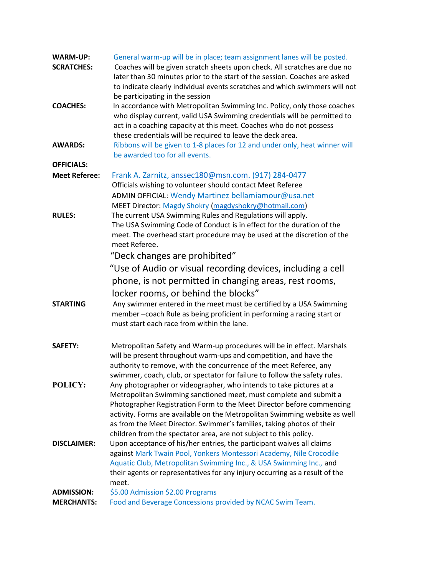| <b>WARM-UP:</b><br><b>SCRATCHES:</b>   | General warm-up will be in place; team assignment lanes will be posted.<br>Coaches will be given scratch sheets upon check. All scratches are due no<br>later than 30 minutes prior to the start of the session. Coaches are asked<br>to indicate clearly individual events scratches and which swimmers will not<br>be participating in the session                                                                                          |  |
|----------------------------------------|-----------------------------------------------------------------------------------------------------------------------------------------------------------------------------------------------------------------------------------------------------------------------------------------------------------------------------------------------------------------------------------------------------------------------------------------------|--|
| <b>COACHES:</b>                        | In accordance with Metropolitan Swimming Inc. Policy, only those coaches<br>who display current, valid USA Swimming credentials will be permitted to<br>act in a coaching capacity at this meet. Coaches who do not possess<br>these credentials will be required to leave the deck area.                                                                                                                                                     |  |
| <b>AWARDS:</b>                         | Ribbons will be given to 1-8 places for 12 and under only, heat winner will<br>be awarded too for all events.                                                                                                                                                                                                                                                                                                                                 |  |
| <b>OFFICIALS:</b>                      |                                                                                                                                                                                                                                                                                                                                                                                                                                               |  |
| <b>Meet Referee:</b>                   | Frank A. Zarnitz, anssec180@msn.com. (917) 284-0477<br>Officials wishing to volunteer should contact Meet Referee                                                                                                                                                                                                                                                                                                                             |  |
| <b>RULES:</b>                          | ADMIN OFFICIAL: Wendy Martinez bellamiamour@usa.net<br>MEET Director: Magdy Shokry (magdyshokry@hotmail.com)<br>The current USA Swimming Rules and Regulations will apply.<br>The USA Swimming Code of Conduct is in effect for the duration of the<br>meet. The overhead start procedure may be used at the discretion of the<br>meet Referee.                                                                                               |  |
|                                        | "Deck changes are prohibited"                                                                                                                                                                                                                                                                                                                                                                                                                 |  |
|                                        | "Use of Audio or visual recording devices, including a cell                                                                                                                                                                                                                                                                                                                                                                                   |  |
|                                        | phone, is not permitted in changing areas, rest rooms,                                                                                                                                                                                                                                                                                                                                                                                        |  |
|                                        |                                                                                                                                                                                                                                                                                                                                                                                                                                               |  |
| <b>STARTING</b>                        | locker rooms, or behind the blocks"<br>Any swimmer entered in the meet must be certified by a USA Swimming<br>member-coach Rule as being proficient in performing a racing start or<br>must start each race from within the lane.                                                                                                                                                                                                             |  |
| <b>SAFETY:</b>                         | Metropolitan Safety and Warm-up procedures will be in effect. Marshals<br>will be present throughout warm-ups and competition, and have the<br>authority to remove, with the concurrence of the meet Referee, any<br>swimmer, coach, club, or spectator for failure to follow the safety rules.                                                                                                                                               |  |
| POLICY:                                | Any photographer or videographer, who intends to take pictures at a<br>Metropolitan Swimming sanctioned meet, must complete and submit a<br>Photographer Registration Form to the Meet Director before commencing<br>activity. Forms are available on the Metropolitan Swimming website as well<br>as from the Meet Director. Swimmer's families, taking photos of their<br>children from the spectator area, are not subject to this policy. |  |
| <b>DISCLAIMER:</b>                     | Upon acceptance of his/her entries, the participant waives all claims<br>against Mark Twain Pool, Yonkers Montessori Academy, Nile Crocodile<br>Aquatic Club, Metropolitan Swimming Inc., & USA Swimming Inc., and<br>their agents or representatives for any injury occurring as a result of the<br>meet.                                                                                                                                    |  |
| <b>ADMISSION:</b><br><b>MERCHANTS:</b> | \$5.00 Admission \$2.00 Programs<br>Food and Beverage Concessions provided by NCAC Swim Team.                                                                                                                                                                                                                                                                                                                                                 |  |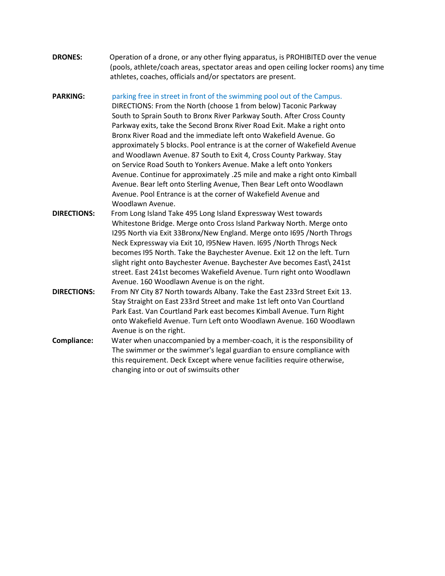| <b>DRONES:</b> | Operation of a drone, or any other flying apparatus, is PROHIBITED over the venue    |
|----------------|--------------------------------------------------------------------------------------|
|                | (pools, athlete/coach areas, spectator areas and open ceiling locker rooms) any time |
|                | athletes, coaches, officials and/or spectators are present.                          |

**PARKING:** parking free in street in front of the swimming pool out of the Campus. DIRECTIONS: From the North (choose 1 from below) Taconic Parkway South to Sprain South to Bronx River Parkway South. After Cross County Parkway exits, take the Second Bronx River Road Exit. Make a right onto Bronx River Road and the immediate left onto Wakefield Avenue. Go approximately 5 blocks. Pool entrance is at the corner of Wakefield Avenue and Woodlawn Avenue. 87 South to Exit 4, Cross County Parkway. Stay on Service Road South to Yonkers Avenue. Make a left onto Yonkers Avenue. Continue for approximately .25 mile and make a right onto Kimball Avenue. Bear left onto Sterling Avenue, Then Bear Left onto Woodlawn Avenue. Pool Entrance is at the corner of Wakefield Avenue and Woodlawn Avenue.

- DIRECTIONS: From Long Island Take 495 Long Island Expressway West towards Whitestone Bridge. Merge onto Cross Island Parkway North. Merge onto I295 North via Exit 33Bronx/New England. Merge onto I695 /North Throgs Neck Expressway via Exit 10, I95New Haven. I695 /North Throgs Neck becomes I95 North. Take the Baychester Avenue. Exit 12 on the left. Turn slight right onto Baychester Avenue. Baychester Ave becomes East\ 241st street. East 241st becomes Wakefield Avenue. Turn right onto Woodlawn Avenue. 160 Woodlawn Avenue is on the right.
- DIRECTIONS: From NY City 87 North towards Albany. Take the East 233rd Street Exit 13. Stay Straight on East 233rd Street and make 1st left onto Van Courtland Park East. Van Courtland Park east becomes Kimball Avenue. Turn Right onto Wakefield Avenue. Turn Left onto Woodlawn Avenue. 160 Woodlawn Avenue is on the right.
- Compliance: Water when unaccompanied by a member-coach, it is the responsibility of The swimmer or the swimmer's legal guardian to ensure compliance with this requirement. Deck Except where venue facilities require otherwise, changing into or out of swimsuits other